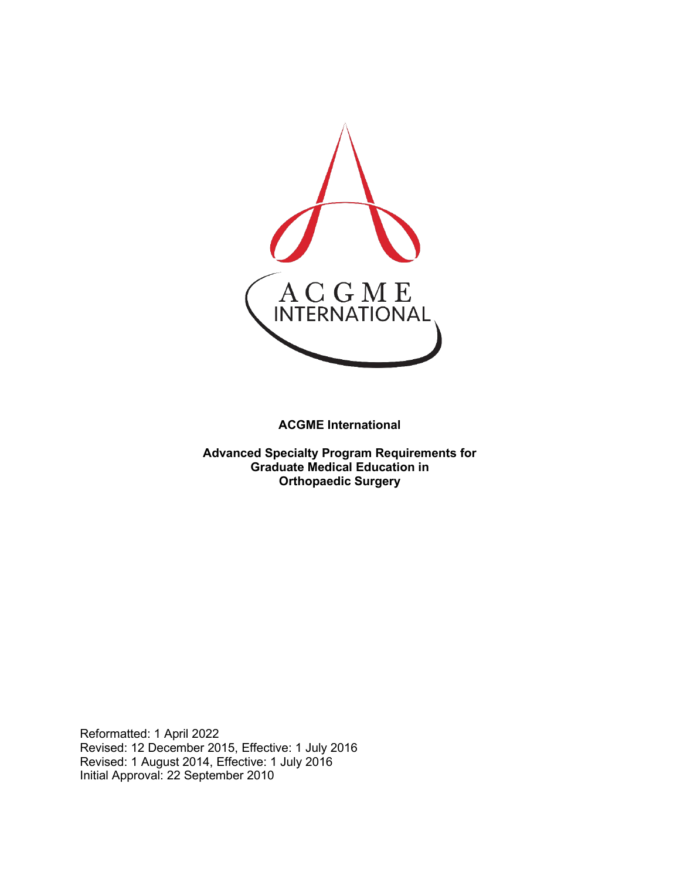

**ACGME International** 

**Advanced Specialty Program Requirements for Graduate Medical Education in Orthopaedic Surgery**

Reformatted: 1 April 2022 Revised: 12 December 2015, Effective: 1 July 2016 Revised: 1 August 2014, Effective: 1 July 2016 Initial Approval: 22 September 2010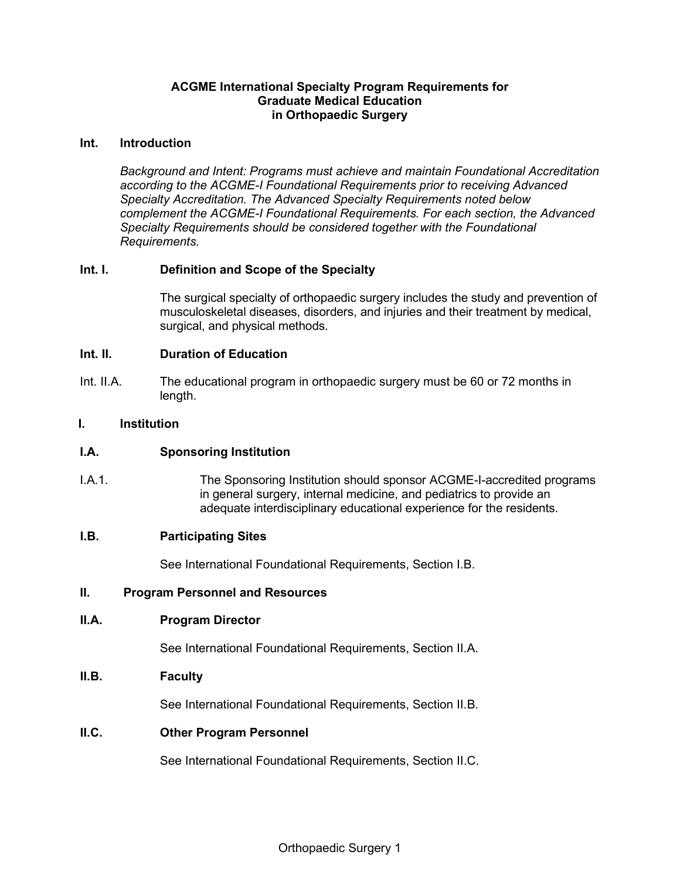## **ACGME International Specialty Program Requirements for Graduate Medical Education in Orthopaedic Surgery**

#### **Int. Introduction**

*Background and Intent: Programs must achieve and maintain Foundational Accreditation according to the ACGME-I Foundational Requirements prior to receiving Advanced Specialty Accreditation. The Advanced Specialty Requirements noted below complement the ACGME-I Foundational Requirements. For each section, the Advanced Specialty Requirements should be considered together with the Foundational Requirements.*

## **Int. I. Definition and Scope of the Specialty**

The surgical specialty of orthopaedic surgery includes the study and prevention of musculoskeletal diseases, disorders, and injuries and their treatment by medical, surgical, and physical methods.

### **Int. II. Duration of Education**

Int. II.A. The educational program in orthopaedic surgery must be 60 or 72 months in length.

### **I. Institution**

## **I.A. Sponsoring Institution**

I.A.1. The Sponsoring Institution should sponsor ACGME-I-accredited programs in general surgery, internal medicine, and pediatrics to provide an adequate interdisciplinary educational experience for the residents.

#### **I.B. Participating Sites**

See International Foundational Requirements, Section I.B.

#### **II. Program Personnel and Resources**

#### **II.A. Program Director**

See International Foundational Requirements, Section II.A.

## **II.B. Faculty**

See International Foundational Requirements, Section II.B.

### **II.C. Other Program Personnel**

See International Foundational Requirements, Section II.C.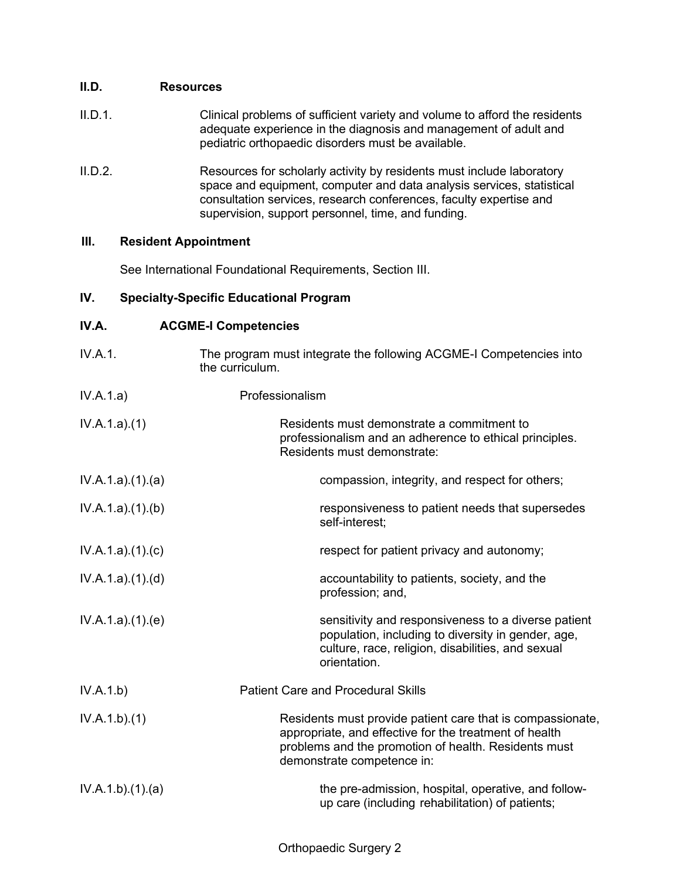## **II.D. Resources**

- II.D.1. Clinical problems of sufficient variety and volume to afford the residents adequate experience in the diagnosis and management of adult and pediatric orthopaedic disorders must be available.
- II.D.2. Resources for scholarly activity by residents must include laboratory space and equipment, computer and data analysis services, statistical consultation services, research conferences, faculty expertise and supervision, support personnel, time, and funding.

## **III. Resident Appointment**

See International Foundational Requirements, Section III.

# **IV. Specialty-Specific Educational Program**

# **IV.A. ACGME-I Competencies**

| IV.A.1.           | The program must integrate the following ACGME-I Competencies into<br>the curriculum.                                                                                                                      |
|-------------------|------------------------------------------------------------------------------------------------------------------------------------------------------------------------------------------------------------|
| IV.A.1.a)         | Professionalism                                                                                                                                                                                            |
| IV.A.1.a)(1)      | Residents must demonstrate a commitment to<br>professionalism and an adherence to ethical principles.<br>Residents must demonstrate:                                                                       |
| IV.A.1.a).(1).(a) | compassion, integrity, and respect for others;                                                                                                                                                             |
| IV.A.1.a)(1)(b)   | responsiveness to patient needs that supersedes<br>self-interest;                                                                                                                                          |
| IV.A.1.a)(1)(c)   | respect for patient privacy and autonomy;                                                                                                                                                                  |
| IV.A.1.a)(1)(d)   | accountability to patients, society, and the<br>profession; and,                                                                                                                                           |
| IV.A.1.a)(1)(e)   | sensitivity and responsiveness to a diverse patient<br>population, including to diversity in gender, age,<br>culture, race, religion, disabilities, and sexual<br>orientation.                             |
| IV.A.1.b)         | <b>Patient Care and Procedural Skills</b>                                                                                                                                                                  |
| IV.A.1.b)(1)      | Residents must provide patient care that is compassionate,<br>appropriate, and effective for the treatment of health<br>problems and the promotion of health. Residents must<br>demonstrate competence in: |
| IV.A.1.b)(1)(a)   | the pre-admission, hospital, operative, and follow-<br>up care (including rehabilitation) of patients;                                                                                                     |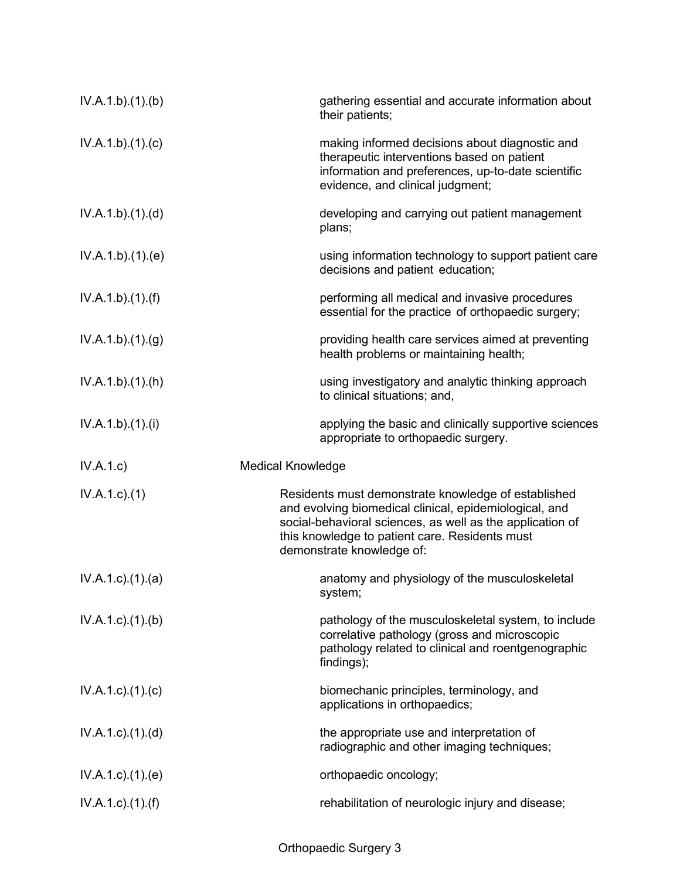| IV.A.1.b)(1)(b)           | gathering essential and accurate information about<br>their patients;                                                                                                                                                                                     |
|---------------------------|-----------------------------------------------------------------------------------------------------------------------------------------------------------------------------------------------------------------------------------------------------------|
| IV.A.1.b)(1)(c)           | making informed decisions about diagnostic and<br>therapeutic interventions based on patient<br>information and preferences, up-to-date scientific<br>evidence, and clinical judgment;                                                                    |
| IV.A.1.b)(1)(d)           | developing and carrying out patient management<br>plans;                                                                                                                                                                                                  |
| IV.A.1.b)(1)(e)           | using information technology to support patient care<br>decisions and patient education;                                                                                                                                                                  |
| IV.A.1.b)(1)(f)           | performing all medical and invasive procedures<br>essential for the practice of orthopaedic surgery;                                                                                                                                                      |
| IV.A.1.b)(1)(g)           | providing health care services aimed at preventing<br>health problems or maintaining health;                                                                                                                                                              |
| IV.A.1.b)(1)(h)           | using investigatory and analytic thinking approach<br>to clinical situations; and,                                                                                                                                                                        |
| IV.A.1.b)(1)(i)           | applying the basic and clinically supportive sciences<br>appropriate to orthopaedic surgery.                                                                                                                                                              |
|                           |                                                                                                                                                                                                                                                           |
| IV.A.1.c)                 | <b>Medical Knowledge</b>                                                                                                                                                                                                                                  |
| $IV.A.1.c.$ (1)           | Residents must demonstrate knowledge of established<br>and evolving biomedical clinical, epidemiological, and<br>social-behavioral sciences, as well as the application of<br>this knowledge to patient care. Residents must<br>demonstrate knowledge of: |
| $IV.A.1.c$ . $(1).$ $(a)$ | anatomy and physiology of the musculoskeletal<br>system;                                                                                                                                                                                                  |
| $IV.A.1.c.$ (1).(b)       | pathology of the musculoskeletal system, to include<br>correlative pathology (gross and microscopic<br>pathology related to clinical and roentgenographic<br>findings);                                                                                   |
| $IV.A.1.c$ ). $(1).$ (c)  | biomechanic principles, terminology, and<br>applications in orthopaedics;                                                                                                                                                                                 |
| $IV.A.1.c$ . $(1).$ $(d)$ | the appropriate use and interpretation of<br>radiographic and other imaging techniques;                                                                                                                                                                   |
| $IV.A.1.c$ . $(1).$ (e)   | orthopaedic oncology;                                                                                                                                                                                                                                     |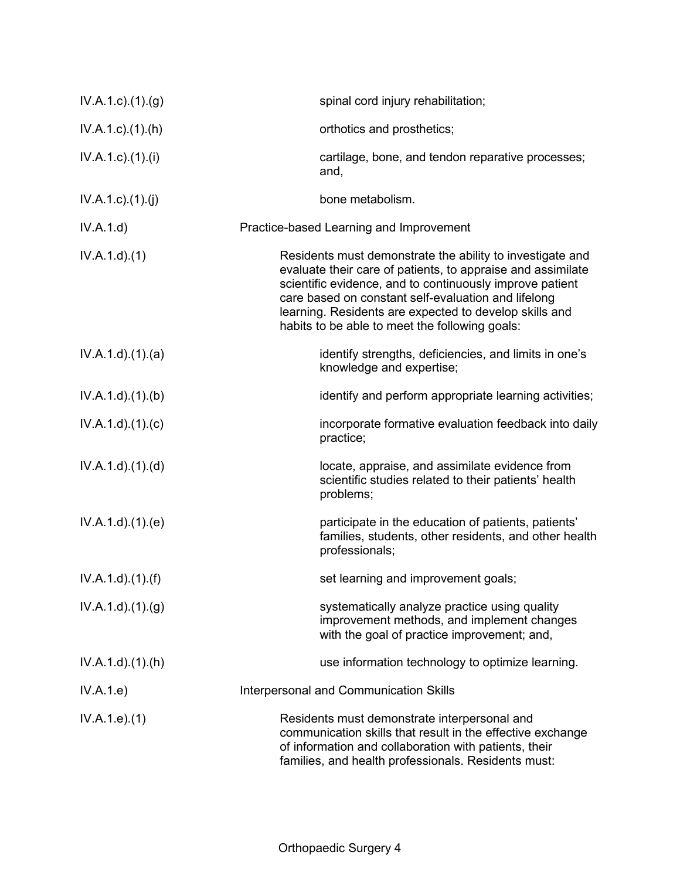| IV.A.1.c)(1)(g)        | spinal cord injury rehabilitation;                                                                                                                                                                                                                                                                                                                      |
|------------------------|---------------------------------------------------------------------------------------------------------------------------------------------------------------------------------------------------------------------------------------------------------------------------------------------------------------------------------------------------------|
| $IV.A.1.c$ . $(1).(h)$ | orthotics and prosthetics;                                                                                                                                                                                                                                                                                                                              |
| IV.A.1.c)(1).(i)       | cartilage, bone, and tendon reparative processes;<br>and,                                                                                                                                                                                                                                                                                               |
| IV.A.1.c)(1)(j)        | bone metabolism.                                                                                                                                                                                                                                                                                                                                        |
| IV.A.1.d)              | Practice-based Learning and Improvement                                                                                                                                                                                                                                                                                                                 |
| IV.A.1.d)(1)           | Residents must demonstrate the ability to investigate and<br>evaluate their care of patients, to appraise and assimilate<br>scientific evidence, and to continuously improve patient<br>care based on constant self-evaluation and lifelong<br>learning. Residents are expected to develop skills and<br>habits to be able to meet the following goals: |
| IV.A.1.d.(1).(a)       | identify strengths, deficiencies, and limits in one's<br>knowledge and expertise;                                                                                                                                                                                                                                                                       |
| IV.A.1.d)(1)(b)        | identify and perform appropriate learning activities;                                                                                                                                                                                                                                                                                                   |
| IV.A.1.d)(1)(c)        | incorporate formative evaluation feedback into daily<br>practice;                                                                                                                                                                                                                                                                                       |
| IV.A.1.d).(1).(d)      | locate, appraise, and assimilate evidence from<br>scientific studies related to their patients' health<br>problems;                                                                                                                                                                                                                                     |
| IV.A.1.d)(1)(e)        | participate in the education of patients, patients'<br>families, students, other residents, and other health<br>professionals;                                                                                                                                                                                                                          |
| IV.A.1.d)(1.(f))       | set learning and improvement goals;                                                                                                                                                                                                                                                                                                                     |
| IV.A.1.d)(1)(g)        | systematically analyze practice using quality<br>improvement methods, and implement changes<br>with the goal of practice improvement; and,                                                                                                                                                                                                              |
| $IV.A.1.d$ . $(1).(h)$ | use information technology to optimize learning.                                                                                                                                                                                                                                                                                                        |
| IV.A.1.e)              | Interpersonal and Communication Skills                                                                                                                                                                                                                                                                                                                  |
| IV.A.1.e. (1)          | Residents must demonstrate interpersonal and<br>communication skills that result in the effective exchange<br>of information and collaboration with patients, their<br>families, and health professionals. Residents must:                                                                                                                              |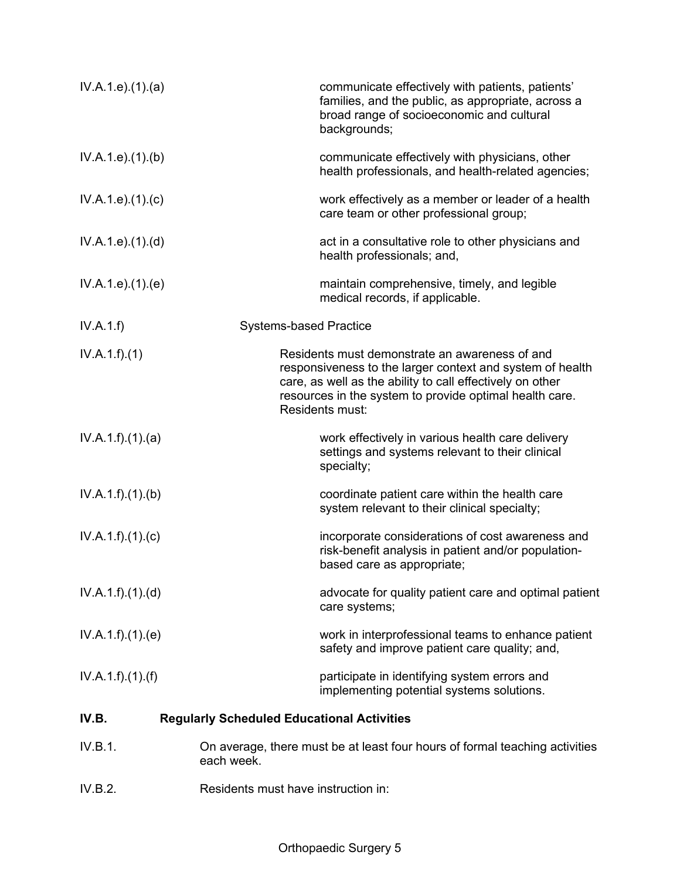| IV.A.1.e. (1). (a) | communicate effectively with patients, patients'<br>families, and the public, as appropriate, across a<br>broad range of socioeconomic and cultural<br>backgrounds;                                                                                    |
|--------------------|--------------------------------------------------------------------------------------------------------------------------------------------------------------------------------------------------------------------------------------------------------|
| IV.A.1.e. (1)(b)   | communicate effectively with physicians, other<br>health professionals, and health-related agencies;                                                                                                                                                   |
| IV.A.1.e. (1). (c) | work effectively as a member or leader of a health<br>care team or other professional group;                                                                                                                                                           |
| IV.A.1.e. (1). (d) | act in a consultative role to other physicians and<br>health professionals; and,                                                                                                                                                                       |
| IV.A.1.e. (1). (e) | maintain comprehensive, timely, and legible<br>medical records, if applicable.                                                                                                                                                                         |
| IV.A.1.f)          | <b>Systems-based Practice</b>                                                                                                                                                                                                                          |
| IV.A.1.f)(1)       | Residents must demonstrate an awareness of and<br>responsiveness to the larger context and system of health<br>care, as well as the ability to call effectively on other<br>resources in the system to provide optimal health care.<br>Residents must: |
| IV.A.1.f)(1)(a)    | work effectively in various health care delivery<br>settings and systems relevant to their clinical<br>specialty;                                                                                                                                      |
| IV.A.1.f)(1)(b)    | coordinate patient care within the health care<br>system relevant to their clinical specialty;                                                                                                                                                         |
| IV.A.1.f)(1)(c)    | incorporate considerations of cost awareness and<br>risk-benefit analysis in patient and/or population-<br>based care as appropriate;                                                                                                                  |
| IV.A.1.f)(1).(d)   | advocate for quality patient care and optimal patient<br>care systems;                                                                                                                                                                                 |
| IV.A.1.f)(1)(e)    | work in interprofessional teams to enhance patient<br>safety and improve patient care quality; and,                                                                                                                                                    |
| IV.A.1.f)(1)(f)    | participate in identifying system errors and<br>implementing potential systems solutions.                                                                                                                                                              |
| IV.B.              | <b>Regularly Scheduled Educational Activities</b>                                                                                                                                                                                                      |
| IV.B.1.            | On average, there must be at least four hours of formal teaching activities<br>each week.                                                                                                                                                              |

IV.B.2. Residents must have instruction in: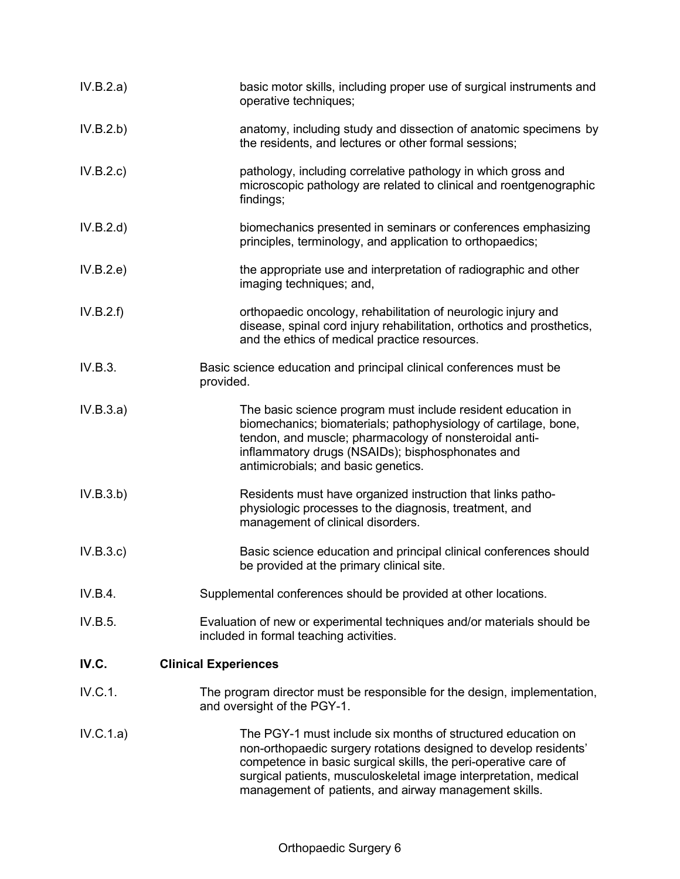| IV.B.2.a) | basic motor skills, including proper use of surgical instruments and<br>operative techniques;                                                                                                                                                                                                                                    |
|-----------|----------------------------------------------------------------------------------------------------------------------------------------------------------------------------------------------------------------------------------------------------------------------------------------------------------------------------------|
| IV.B.2.b) | anatomy, including study and dissection of anatomic specimens by<br>the residents, and lectures or other formal sessions;                                                                                                                                                                                                        |
| IV.B.2.c  | pathology, including correlative pathology in which gross and<br>microscopic pathology are related to clinical and roentgenographic<br>findings;                                                                                                                                                                                 |
| IV.B.2.d) | biomechanics presented in seminars or conferences emphasizing<br>principles, terminology, and application to orthopaedics;                                                                                                                                                                                                       |
| IV.B.2.e) | the appropriate use and interpretation of radiographic and other<br>imaging techniques; and,                                                                                                                                                                                                                                     |
| IV.B.2.f) | orthopaedic oncology, rehabilitation of neurologic injury and<br>disease, spinal cord injury rehabilitation, orthotics and prosthetics,<br>and the ethics of medical practice resources.                                                                                                                                         |
| IV.B.3.   | Basic science education and principal clinical conferences must be<br>provided.                                                                                                                                                                                                                                                  |
| IV.B.3.a) | The basic science program must include resident education in<br>biomechanics; biomaterials; pathophysiology of cartilage, bone,<br>tendon, and muscle; pharmacology of nonsteroidal anti-<br>inflammatory drugs (NSAIDs); bisphosphonates and<br>antimicrobials; and basic genetics.                                             |
| IV.B.3.b) | Residents must have organized instruction that links patho-<br>physiologic processes to the diagnosis, treatment, and<br>management of clinical disorders.                                                                                                                                                                       |
| IV.B.3.c  | Basic science education and principal clinical conferences should<br>be provided at the primary clinical site.                                                                                                                                                                                                                   |
| IV.B.4.   | Supplemental conferences should be provided at other locations.                                                                                                                                                                                                                                                                  |
| IV.B.5.   | Evaluation of new or experimental techniques and/or materials should be<br>included in formal teaching activities.                                                                                                                                                                                                               |
| IV.C.     | <b>Clinical Experiences</b>                                                                                                                                                                                                                                                                                                      |
| IV.C.1.   | The program director must be responsible for the design, implementation,<br>and oversight of the PGY-1.                                                                                                                                                                                                                          |
| IV.C.1.a) | The PGY-1 must include six months of structured education on<br>non-orthopaedic surgery rotations designed to develop residents'<br>competence in basic surgical skills, the peri-operative care of<br>surgical patients, musculoskeletal image interpretation, medical<br>management of patients, and airway management skills. |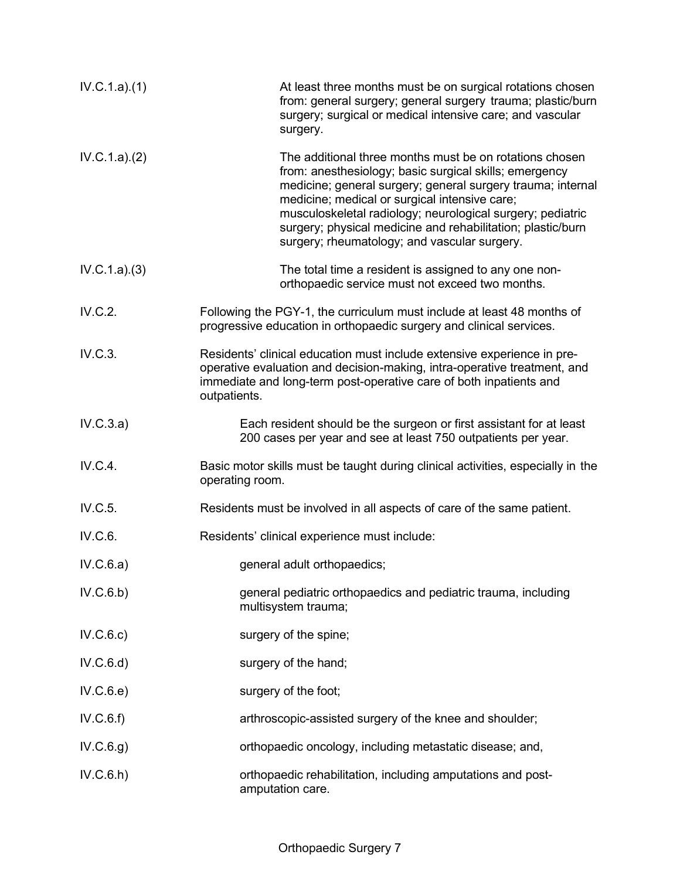| IV.C.1.a)(1) | At least three months must be on surgical rotations chosen<br>from: general surgery; general surgery trauma; plastic/burn<br>surgery; surgical or medical intensive care; and vascular<br>surgery.                                                                                                                                                                                                             |
|--------------|----------------------------------------------------------------------------------------------------------------------------------------------------------------------------------------------------------------------------------------------------------------------------------------------------------------------------------------------------------------------------------------------------------------|
| IV.C.1.a)(2) | The additional three months must be on rotations chosen<br>from: anesthesiology; basic surgical skills; emergency<br>medicine; general surgery; general surgery trauma; internal<br>medicine; medical or surgical intensive care;<br>musculoskeletal radiology; neurological surgery; pediatric<br>surgery; physical medicine and rehabilitation; plastic/burn<br>surgery; rheumatology; and vascular surgery. |
| IV.C.1.a)(3) | The total time a resident is assigned to any one non-<br>orthopaedic service must not exceed two months.                                                                                                                                                                                                                                                                                                       |
| IV.C.2.      | Following the PGY-1, the curriculum must include at least 48 months of<br>progressive education in orthopaedic surgery and clinical services.                                                                                                                                                                                                                                                                  |
| IV.C.3.      | Residents' clinical education must include extensive experience in pre-<br>operative evaluation and decision-making, intra-operative treatment, and<br>immediate and long-term post-operative care of both inpatients and<br>outpatients.                                                                                                                                                                      |
| IV.C.3.a)    | Each resident should be the surgeon or first assistant for at least<br>200 cases per year and see at least 750 outpatients per year.                                                                                                                                                                                                                                                                           |
| IV.C.4.      | Basic motor skills must be taught during clinical activities, especially in the<br>operating room.                                                                                                                                                                                                                                                                                                             |
| IV.C.5.      | Residents must be involved in all aspects of care of the same patient.                                                                                                                                                                                                                                                                                                                                         |
| IV.C.6.      | Residents' clinical experience must include:                                                                                                                                                                                                                                                                                                                                                                   |
| IV.C.6.a)    | general adult orthopaedics;                                                                                                                                                                                                                                                                                                                                                                                    |
| IV.C.6.b)    | general pediatric orthopaedics and pediatric trauma, including<br>multisystem trauma;                                                                                                                                                                                                                                                                                                                          |
| IV.C.6.c)    | surgery of the spine;                                                                                                                                                                                                                                                                                                                                                                                          |
| IV.C.6.d)    | surgery of the hand;                                                                                                                                                                                                                                                                                                                                                                                           |
| IV.C.6.e)    | surgery of the foot;                                                                                                                                                                                                                                                                                                                                                                                           |
| IV.C.6.f)    | arthroscopic-assisted surgery of the knee and shoulder;                                                                                                                                                                                                                                                                                                                                                        |
| IV.C.6.g)    | orthopaedic oncology, including metastatic disease; and,                                                                                                                                                                                                                                                                                                                                                       |
| IV.C.6.h)    | orthopaedic rehabilitation, including amputations and post-<br>amputation care.                                                                                                                                                                                                                                                                                                                                |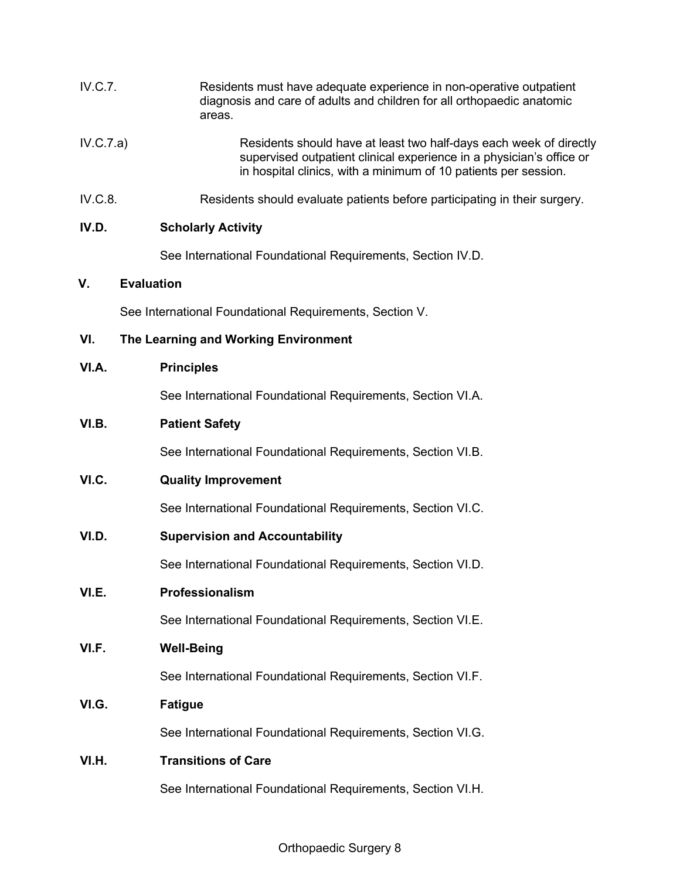| <b>IV.C.7.</b> |                                      | Residents must have adequate experience in non-operative outpatient<br>diagnosis and care of adults and children for all orthopaedic anatomic<br>areas.                                                       |
|----------------|--------------------------------------|---------------------------------------------------------------------------------------------------------------------------------------------------------------------------------------------------------------|
| IV.C.7.a)      |                                      | Residents should have at least two half-days each week of directly<br>supervised outpatient clinical experience in a physician's office or<br>in hospital clinics, with a minimum of 10 patients per session. |
| IV.C.8.        |                                      | Residents should evaluate patients before participating in their surgery.                                                                                                                                     |
| IV.D.          |                                      | <b>Scholarly Activity</b>                                                                                                                                                                                     |
|                |                                      | See International Foundational Requirements, Section IV.D.                                                                                                                                                    |
| V.             | <b>Evaluation</b>                    |                                                                                                                                                                                                               |
|                |                                      | See International Foundational Requirements, Section V.                                                                                                                                                       |
| VI.            | The Learning and Working Environment |                                                                                                                                                                                                               |
| VI.A.          | <b>Principles</b>                    |                                                                                                                                                                                                               |
|                |                                      | See International Foundational Requirements, Section VI.A.                                                                                                                                                    |
| VI.B.          | <b>Patient Safety</b>                |                                                                                                                                                                                                               |
|                |                                      | See International Foundational Requirements, Section VI.B.                                                                                                                                                    |
| VI.C.          |                                      | <b>Quality Improvement</b>                                                                                                                                                                                    |
|                |                                      | See International Foundational Requirements, Section VI.C.                                                                                                                                                    |
| VI.D.          |                                      | <b>Supervision and Accountability</b>                                                                                                                                                                         |
|                |                                      | See International Foundational Requirements, Section VI.D.                                                                                                                                                    |
| VI.E.          | Professionalism                      |                                                                                                                                                                                                               |
|                |                                      | See International Foundational Requirements, Section VI.E.                                                                                                                                                    |
| VI.F.          | <b>Well-Being</b>                    |                                                                                                                                                                                                               |
|                |                                      | See International Foundational Requirements, Section VI.F.                                                                                                                                                    |
| VI.G.          | <b>Fatigue</b>                       |                                                                                                                                                                                                               |
|                |                                      | See International Foundational Requirements, Section VI.G.                                                                                                                                                    |
| VI.H.          |                                      | <b>Transitions of Care</b>                                                                                                                                                                                    |
|                |                                      | See International Foundational Requirements, Section VI.H.                                                                                                                                                    |